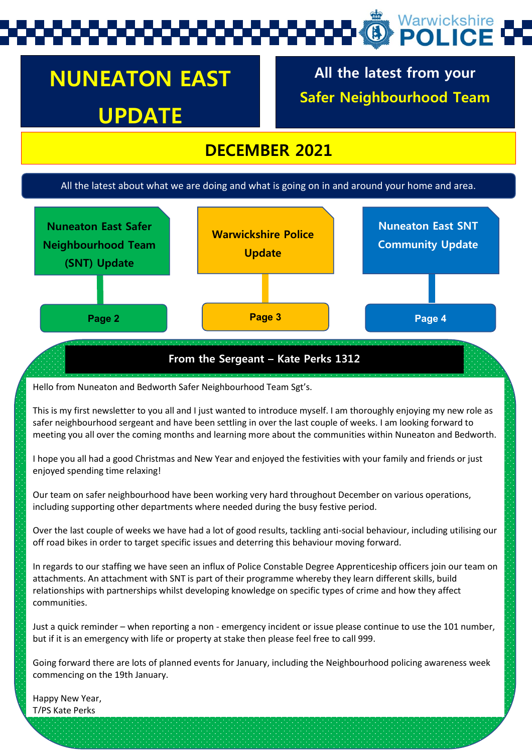# Warwickshire

# **NUNEATON EAST UPDATE**

**All the latest from your Safer Neighbourhood Team**

#### **DECEMBER 2021**

#### All the latest about what we are doing and what is going on in and around your home and area.



#### **From the Sergeant – Kate Perks 1312**

Hello from Nuneaton and Bedworth Safer Neighbourhood Team Sgt's.

This is my first newsletter to you all and I just wanted to introduce myself. I am thoroughly enjoying my new role as safer neighbourhood sergeant and have been settling in over the last couple of weeks. I am looking forward to meeting you all over the coming months and learning more about the communities within Nuneaton and Bedworth.

I hope you all had a good Christmas and New Year and enjoyed the festivities with your family and friends or just enjoyed spending time relaxing!

Our team on safer neighbourhood have been working very hard throughout December on various operations, including supporting other departments where needed during the busy festive period.

Over the last couple of weeks we have had a lot of good results, tackling anti-social behaviour, including utilising our off road bikes in order to target specific issues and deterring this behaviour moving forward.

In regards to our staffing we have seen an influx of Police Constable Degree Apprenticeship officers join our team on attachments. An attachment with SNT is part of their programme whereby they learn different skills, build relationships with partnerships whilst developing knowledge on specific types of crime and how they affect communities.

Just a quick reminder – when reporting a non - emergency incident or issue please continue to use the 101 number, but if it is an emergency with life or property at stake then please feel free to call 999.

Going forward there are lots of planned events for January, including the Neighbourhood policing awareness week commencing on the 19th January.

Happy New Year, T/PS Kate Perks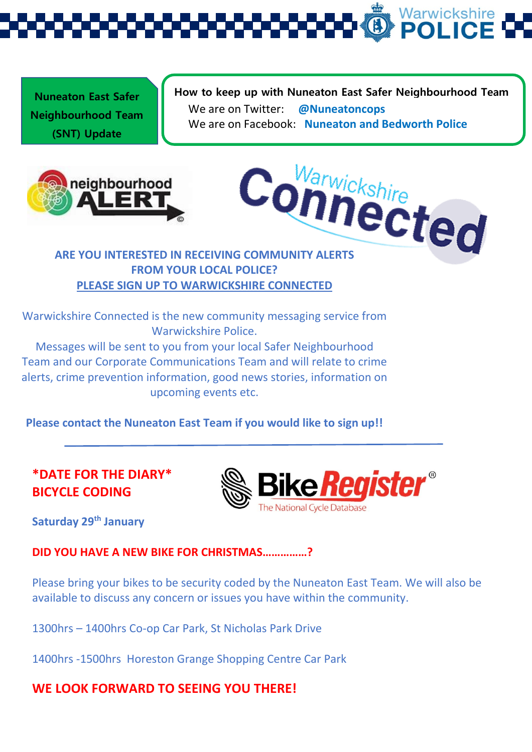Warwickshire<br>**POLICE** 

**Nuneaton East Safer Neighbourhood Team (SNT) Update** 

**How to keep up with Nuneaton East Safer Neighbourhood Team**  We are on Twitter: **@Nuneatoncops** We are on Facebook: **Nuneaton and Bedworth Police**





### **FROM YOUR LOCAL POLICE? PLEASE SIGN UP TO WARWICKSHIRE CONNECTED**

Warwickshire Connected is the new community messaging service from Warwickshire Police.

Messages will be sent to you from your local Safer Neighbourhood Team and our Corporate Communications Team and will relate to crime alerts, crime prevention information, good news stories, information on upcoming events etc.

**Please contact the Nuneaton East Team if you would like to sign up!!**

#### **\*DATE FOR THE DIARY\* BICYCLE CODING**



**Saturday 29th January** 

**DID YOU HAVE A NEW BIKE FOR CHRISTMAS……………?**

Please bring your bikes to be security coded by the Nuneaton East Team. We will also be available to discuss any concern or issues you have within the community.

1300hrs – 1400hrs Co-op Car Park, St Nicholas Park Drive

1400hrs -1500hrs Horeston Grange Shopping Centre Car Park

#### **WE LOOK FORWARD TO SEEING YOU THERE!**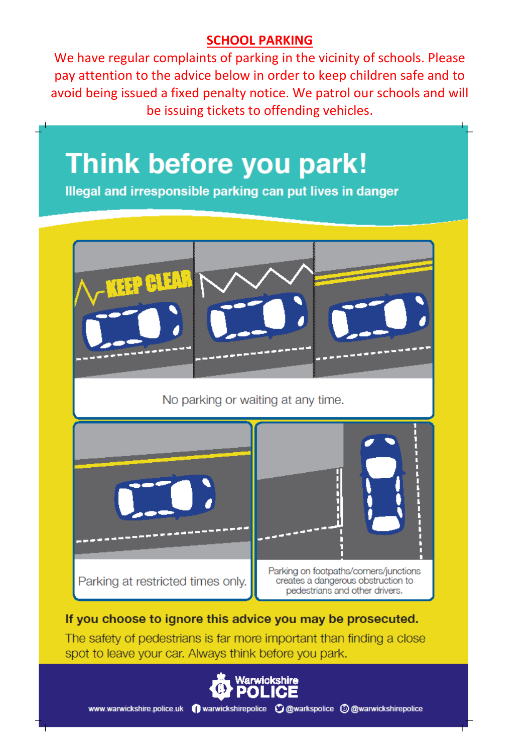#### **SCHOOL PARKING**

We have regular complaints of parking in the vicinity of schools. Please pay attention to the advice below in order to keep children safe and to avoid being issued a fixed penalty notice. We patrol our schools and will be issuing tickets to offending vehicles.

# **Think before you park!**

Illegal and irresponsible parking can put lives in danger



#### If you choose to ignore this advice you may be prosecuted.

The safety of pedestrians is far more important than finding a close spot to leave your car. Always think before you park.

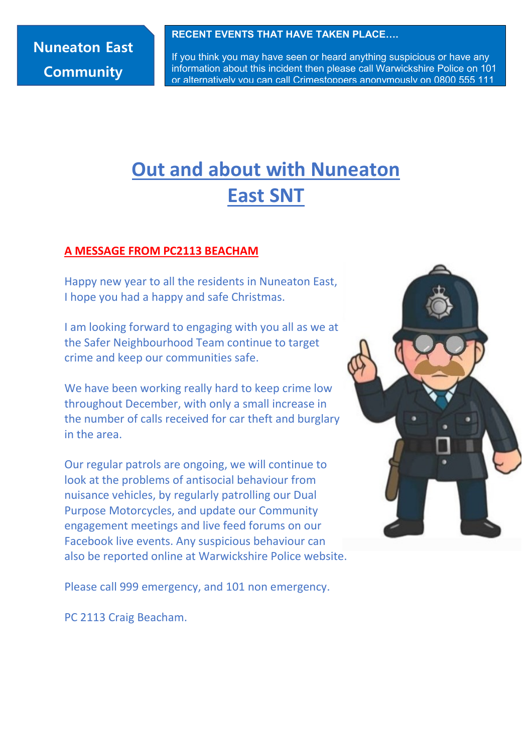### **Nuneaton East Community**

#### **RECENT EVENTS THAT HAVE TAKEN PLACE….**

If you think you may have seen or heard anything suspicious or have any information about this incident then please call Warwickshire Police on 101 or alternatively you can call Crimestoppers anonymously on 0800 555 111

# **Out and about with Nuneaton East SNT**

#### **A MESSAGE FROM PC2113 BEACHAM**

Happy new year to all the residents in Nuneaton East, I hope you had a happy and safe Christmas.

I am looking forward to engaging with you all as we at the Safer Neighbourhood Team continue to target crime and keep our communities safe.

We have been working really hard to keep crime low throughout December, with only a small increase in the number of calls received for car theft and burglary in the area.

Our regular patrols are ongoing, we will continue to look at the problems of antisocial behaviour from nuisance vehicles, by regularly patrolling our Dual Purpose Motorcycles, and update our Community engagement meetings and live feed forums on our Facebook live events. Any suspicious behaviour can also be reported online at Warwickshire Police website.



Please call 999 emergency, and 101 non emergency.

PC 2113 Craig Beacham.